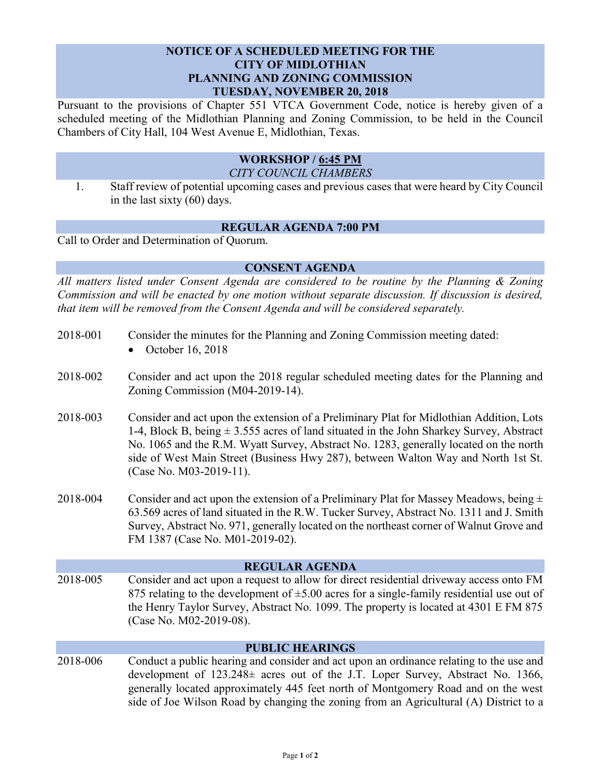### **NOTICE OF A SCHEDULED MEETING FOR THE CITY OF MIDLOTHIAN PLANNING AND ZONING COMMISSION TUESDAY, NOVEMBER 20, 2018**

Pursuant to the provisions of Chapter 551 VTCA Government Code, notice is hereby given of a scheduled meeting of the Midlothian Planning and Zoning Commission, to be held in the Council Chambers of City Hall, 104 West Avenue E, Midlothian, Texas.

### **WORKSHOP / 6:45 PM** *CITY COUNCIL CHAMBERS*

1. Staff review of potential upcoming cases and previous cases that were heard by City Council in the last sixty (60) days.

# **REGULAR AGENDA 7:00 PM**

Call to Order and Determination of Quorum.

## **CONSENT AGENDA**

*All matters listed under Consent Agenda are considered to be routine by the Planning & Zoning Commission and will be enacted by one motion without separate discussion. If discussion is desired, that item will be removed from the Consent Agenda and will be considered separately.*

| 2018-001               | Consider the minutes for the Planning and Zoning Commission meeting dated:<br>October 16, 2018                                                                                                                                                                                                                                                                                                  |
|------------------------|-------------------------------------------------------------------------------------------------------------------------------------------------------------------------------------------------------------------------------------------------------------------------------------------------------------------------------------------------------------------------------------------------|
| 2018-002               | Consider and act upon the 2018 regular scheduled meeting dates for the Planning and<br>Zoning Commission (M04-2019-14).                                                                                                                                                                                                                                                                         |
| 2018-003               | Consider and act upon the extension of a Preliminary Plat for Midlothian Addition, Lots<br>1-4, Block B, being $\pm$ 3.555 acres of land situated in the John Sharkey Survey, Abstract<br>No. 1065 and the R.M. Wyatt Survey, Abstract No. 1283, generally located on the north<br>side of West Main Street (Business Hwy 287), between Walton Way and North 1st St.<br>(Case No. M03-2019-11). |
| 2018-004               | Consider and act upon the extension of a Preliminary Plat for Massey Meadows, being $\pm$<br>63.569 acres of land situated in the R.W. Tucker Survey, Abstract No. 1311 and J. Smith<br>Survey, Abstract No. 971, generally located on the northeast corner of Walnut Grove and<br>FM 1387 (Case No. M01-2019-02).                                                                              |
| <b>REGULAR AGENDA</b>  |                                                                                                                                                                                                                                                                                                                                                                                                 |
| 2018-005               | Consider and act upon a request to allow for direct residential driveway access onto FM<br>875 relating to the development of $\pm$ 5.00 acres for a single-family residential use out of<br>the Henry Taylor Survey, Abstract No. 1099. The property is located at 4301 E FM 875<br>(Case No. M02-2019-08).                                                                                    |
| <b>PUBLIC HEARINGS</b> |                                                                                                                                                                                                                                                                                                                                                                                                 |
| 2018-006               | Conduct a public hearing and consider and act upon an ordinance relating to the use and<br>development of 123.248± acres out of the J.T. Loper Survey, Abstract No. 1366,<br>generally located approximately 445 feet north of Montgomery Road and on the west<br>side of Joe Wilson Road by changing the zoning from an Agricultural (A) District to a                                         |